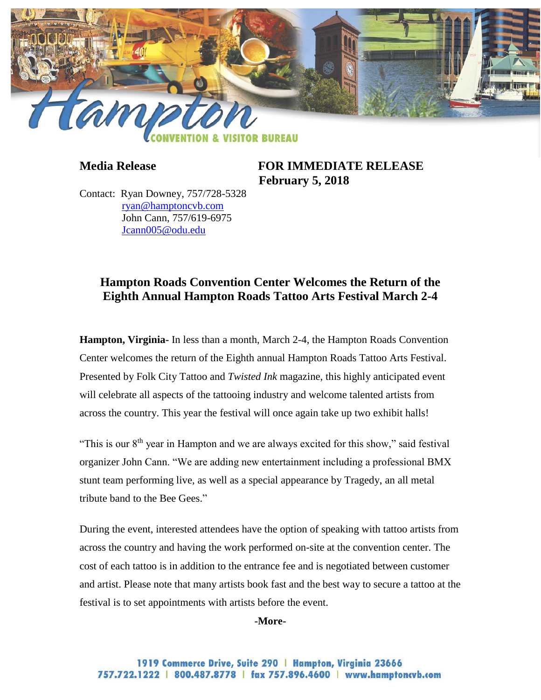

**Media Release FOR IMMEDIATE RELEASE February 5, 2018**

Contact: Ryan Downey, 757/728-5328 [ryan@hamptoncvb.com](mailto:ryan@hamptoncvb.com) John Cann, 757/619-6975 [Jcann005@odu.edu](mailto:Jcann005@odu.edu)

# **Hampton Roads Convention Center Welcomes the Return of the Eighth Annual Hampton Roads Tattoo Arts Festival March 2-4**

**Hampton, Virginia-** In less than a month, March 2-4, the Hampton Roads Convention Center welcomes the return of the Eighth annual Hampton Roads Tattoo Arts Festival. Presented by Folk City Tattoo and *Twisted Ink* magazine, this highly anticipated event will celebrate all aspects of the tattooing industry and welcome talented artists from across the country. This year the festival will once again take up two exhibit halls!

"This is our  $8<sup>th</sup>$  year in Hampton and we are always excited for this show," said festival organizer John Cann. "We are adding new entertainment including a professional BMX stunt team performing live, as well as a special appearance by Tragedy, an all metal tribute band to the Bee Gees."

During the event, interested attendees have the option of speaking with tattoo artists from across the country and having the work performed on-site at the convention center. The cost of each tattoo is in addition to the entrance fee and is negotiated between customer and artist. Please note that many artists book fast and the best way to secure a tattoo at the festival is to set appointments with artists before the event.

#### **-More-**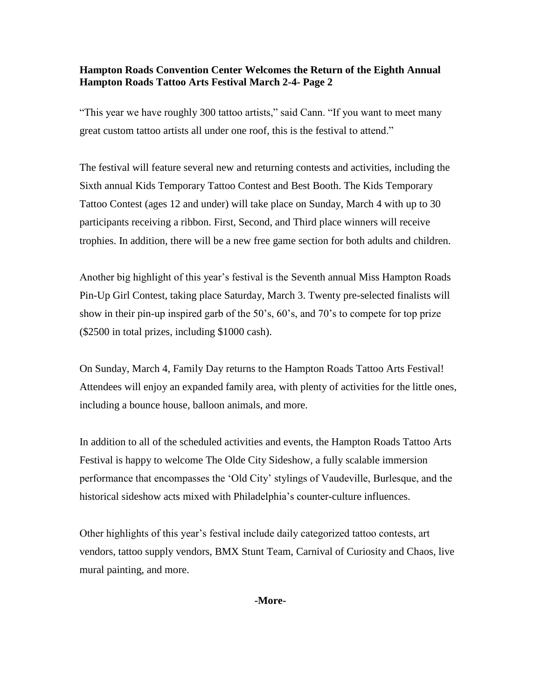## **Hampton Roads Convention Center Welcomes the Return of the Eighth Annual Hampton Roads Tattoo Arts Festival March 2-4- Page 2**

"This year we have roughly 300 tattoo artists," said Cann. "If you want to meet many great custom tattoo artists all under one roof, this is the festival to attend."

The festival will feature several new and returning contests and activities, including the Sixth annual Kids Temporary Tattoo Contest and Best Booth. The Kids Temporary Tattoo Contest (ages 12 and under) will take place on Sunday, March 4 with up to 30 participants receiving a ribbon. First, Second, and Third place winners will receive trophies. In addition, there will be a new free game section for both adults and children.

Another big highlight of this year's festival is the Seventh annual Miss Hampton Roads Pin-Up Girl Contest, taking place Saturday, March 3. Twenty pre-selected finalists will show in their pin-up inspired garb of the 50's, 60's, and 70's to compete for top prize (\$2500 in total prizes, including \$1000 cash).

On Sunday, March 4, Family Day returns to the Hampton Roads Tattoo Arts Festival! Attendees will enjoy an expanded family area, with plenty of activities for the little ones, including a bounce house, balloon animals, and more.

In addition to all of the scheduled activities and events, the Hampton Roads Tattoo Arts Festival is happy to welcome The Olde City Sideshow, a fully scalable immersion performance that encompasses the 'Old City' stylings of Vaudeville, Burlesque, and the historical sideshow acts mixed with Philadelphia's counter-culture influences.

Other highlights of this year's festival include daily categorized tattoo contests, art vendors, tattoo supply vendors, BMX Stunt Team, Carnival of Curiosity and Chaos, live mural painting, and more.

**-More-**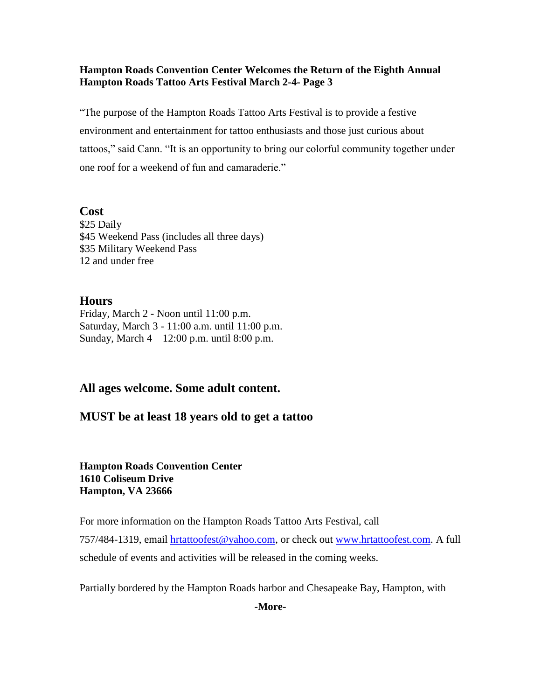## **Hampton Roads Convention Center Welcomes the Return of the Eighth Annual Hampton Roads Tattoo Arts Festival March 2-4- Page 3**

"The purpose of the Hampton Roads Tattoo Arts Festival is to provide a festive environment and entertainment for tattoo enthusiasts and those just curious about tattoos," said Cann. "It is an opportunity to bring our colorful community together under one roof for a weekend of fun and camaraderie."

**Cost**

\$25 Daily \$45 Weekend Pass (includes all three days) \$35 Military Weekend Pass 12 and under free

## **Hours**

Friday, March 2 - Noon until 11:00 p.m. Saturday, March 3 - 11:00 a.m. until 11:00 p.m. Sunday, March 4 – 12:00 p.m. until 8:00 p.m.

## **All ages welcome. Some adult content.**

## **MUST be at least 18 years old to get a tattoo**

**Hampton Roads Convention Center 1610 Coliseum Drive Hampton, VA 23666**

For more information on the Hampton Roads Tattoo Arts Festival, call

757/484-1319, email [hrtattoofest@yahoo.com,](mailto:hrtattoofest@yahoo.com) or check out [www.hrtattoofest.com.](http://www.hrtattoofest.com/) A full schedule of events and activities will be released in the coming weeks.

Partially bordered by the Hampton Roads harbor and Chesapeake Bay, Hampton, with

**-More-**